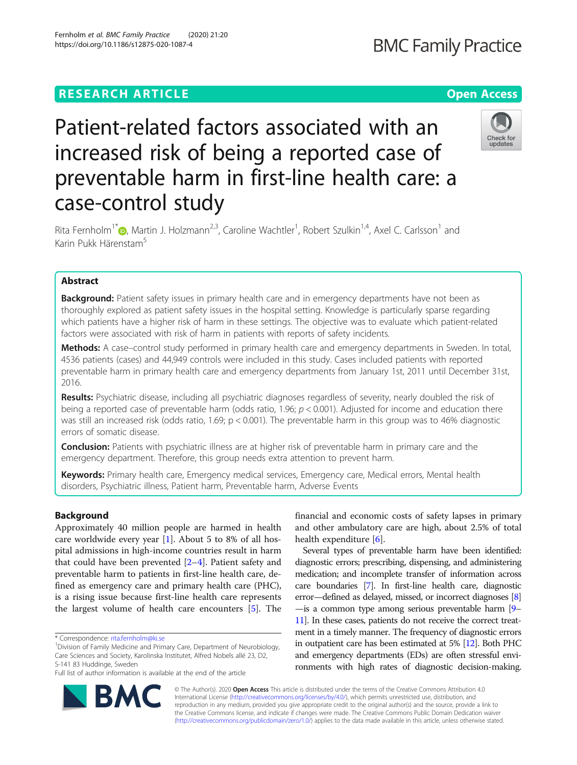## **RESEARCH ARTICLE Example 2014 12:30 The Contract of Contract ACCESS**

# Patient-related factors associated with an increased risk of being a reported case of preventable harm in first-line health care: a case-control study

Rita Fernholm<sup>1\*</sup> (**p**[,](http://orcid.org/0000-0002-6764-8827) Martin J. Holzmann<sup>2,3</sup>, Caroline Wachtler<sup>1</sup>, Robert Szulkin<sup>1,4</sup>, Axel C. Carlsson<sup>1</sup> and Karin Pukk Härenstam<sup>5</sup>

### Abstract

**Background:** Patient safety issues in primary health care and in emergency departments have not been as thoroughly explored as patient safety issues in the hospital setting. Knowledge is particularly sparse regarding which patients have a higher risk of harm in these settings. The objective was to evaluate which patient-related factors were associated with risk of harm in patients with reports of safety incidents.

Methods: A case–control study performed in primary health care and emergency departments in Sweden. In total, 4536 patients (cases) and 44,949 controls were included in this study. Cases included patients with reported preventable harm in primary health care and emergency departments from January 1st, 2011 until December 31st, 2016.

Results: Psychiatric disease, including all psychiatric diagnoses regardless of severity, nearly doubled the risk of being a reported case of preventable harm (odds ratio, 1.96;  $p < 0.001$ ). Adjusted for income and education there was still an increased risk (odds ratio, 1.69;  $p < 0.001$ ). The preventable harm in this group was to 46% diagnostic errors of somatic disease.

**Conclusion:** Patients with psychiatric illness are at higher risk of preventable harm in primary care and the emergency department. Therefore, this group needs extra attention to prevent harm.

Keywords: Primary health care, Emergency medical services, Emergency care, Medical errors, Mental health disorders, Psychiatric illness, Patient harm, Preventable harm, Adverse Events

#### Background

Approximately 40 million people are harmed in health care worldwide every year [[1\]](#page-6-0). About 5 to 8% of all hospital admissions in high-income countries result in harm that could have been prevented  $[2-4]$  $[2-4]$  $[2-4]$ . Patient safety and preventable harm to patients in first-line health care, defined as emergency care and primary health care (PHC), is a rising issue because first-line health care represents the largest volume of health care encounters [\[5](#page-6-0)]. The

financial and economic costs of safety lapses in primary and other ambulatory care are high, about 2.5% of total health expenditure [\[6](#page-6-0)].

Several types of preventable harm have been identified: diagnostic errors; prescribing, dispensing, and administering medication; and incomplete transfer of information across care boundaries [\[7\]](#page-6-0). In first-line health care, diagnostic error—defined as delayed, missed, or incorrect diagnoses [[8](#page-6-0)] —is a common type among serious preventable harm [\[9](#page-6-0)– [11](#page-6-0)]. In these cases, patients do not receive the correct treatment in a timely manner. The frequency of diagnostic errors in outpatient care has been estimated at 5% [\[12](#page-6-0)]. Both PHC and emergency departments (EDs) are often stressful environments with high rates of diagnostic decision-making.

© The Author(s). 2020 **Open Access** This article is distributed under the terms of the Creative Commons Attribution 4.0 International License [\(http://creativecommons.org/licenses/by/4.0/](http://creativecommons.org/licenses/by/4.0/)), which permits unrestricted use, distribution, and reproduction in any medium, provided you give appropriate credit to the original author(s) and the source, provide a link to the Creative Commons license, and indicate if changes were made. The Creative Commons Public Domain Dedication waiver [\(http://creativecommons.org/publicdomain/zero/1.0/](http://creativecommons.org/publicdomain/zero/1.0/)) applies to the data made available in this article, unless otherwise stated.





<sup>\*</sup> Correspondence: [rita.fernholm@ki.se](mailto:rita.fernholm@ki.se) <sup>1</sup>

<sup>&</sup>lt;sup>1</sup> Division of Family Medicine and Primary Care, Department of Neurobiology, Care Sciences and Society, Karolinska Institutet, Alfred Nobels allé 23, D2, S-141 83 Huddinge, Sweden

Full list of author information is available at the end of the article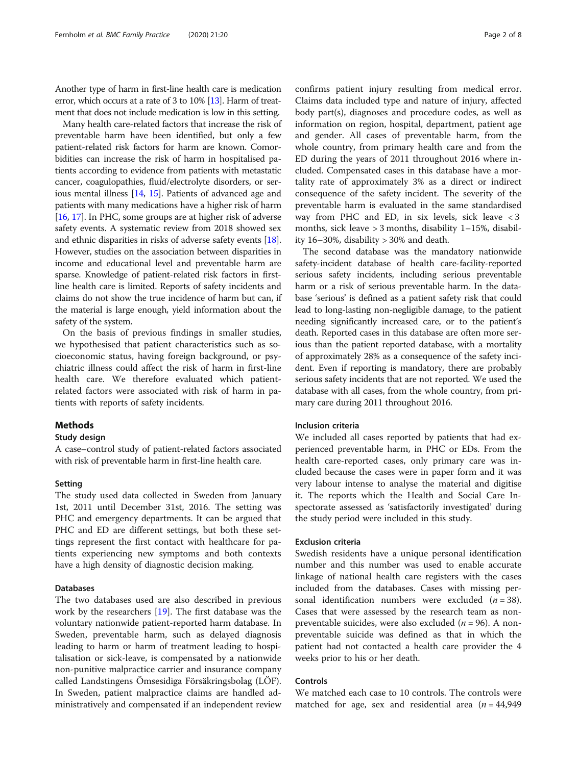Another type of harm in first-line health care is medication error, which occurs at a rate of 3 to 10% [\[13](#page-6-0)]. Harm of treatment that does not include medication is low in this setting.

Many health care-related factors that increase the risk of preventable harm have been identified, but only a few patient-related risk factors for harm are known. Comorbidities can increase the risk of harm in hospitalised patients according to evidence from patients with metastatic cancer, coagulopathies, fluid/electrolyte disorders, or serious mental illness [[14](#page-6-0), [15](#page-6-0)]. Patients of advanced age and patients with many medications have a higher risk of harm [[16](#page-6-0), [17\]](#page-6-0). In PHC, some groups are at higher risk of adverse safety events. A systematic review from 2018 showed sex and ethnic disparities in risks of adverse safety events [[18](#page-6-0)]. However, studies on the association between disparities in income and educational level and preventable harm are sparse. Knowledge of patient-related risk factors in firstline health care is limited. Reports of safety incidents and claims do not show the true incidence of harm but can, if the material is large enough, yield information about the safety of the system.

On the basis of previous findings in smaller studies, we hypothesised that patient characteristics such as socioeconomic status, having foreign background, or psychiatric illness could affect the risk of harm in first-line health care. We therefore evaluated which patientrelated factors were associated with risk of harm in patients with reports of safety incidents.

#### Methods

#### Study design

A case–control study of patient-related factors associated with risk of preventable harm in first-line health care.

#### Setting

The study used data collected in Sweden from January 1st, 2011 until December 31st, 2016. The setting was PHC and emergency departments. It can be argued that PHC and ED are different settings, but both these settings represent the first contact with healthcare for patients experiencing new symptoms and both contexts have a high density of diagnostic decision making.

#### **Databases**

The two databases used are also described in previous work by the researchers [[19\]](#page-6-0). The first database was the voluntary nationwide patient-reported harm database. In Sweden, preventable harm, such as delayed diagnosis leading to harm or harm of treatment leading to hospitalisation or sick-leave, is compensated by a nationwide non-punitive malpractice carrier and insurance company called Landstingens Ömsesidiga Försäkringsbolag (LÖF). In Sweden, patient malpractice claims are handled administratively and compensated if an independent review confirms patient injury resulting from medical error. Claims data included type and nature of injury, affected body part(s), diagnoses and procedure codes, as well as information on region, hospital, department, patient age and gender. All cases of preventable harm, from the whole country, from primary health care and from the ED during the years of 2011 throughout 2016 where included. Compensated cases in this database have a mortality rate of approximately 3% as a direct or indirect consequence of the safety incident. The severity of the preventable harm is evaluated in the same standardised way from PHC and ED, in six levels, sick leave < 3 months, sick leave  $> 3$  months, disability 1-15%, disability 16–30%, disability > 30% and death.

The second database was the mandatory nationwide safety-incident database of health care-facility-reported serious safety incidents, including serious preventable harm or a risk of serious preventable harm. In the database 'serious' is defined as a patient safety risk that could lead to long-lasting non-negligible damage, to the patient needing significantly increased care, or to the patient's death. Reported cases in this database are often more serious than the patient reported database, with a mortality of approximately 28% as a consequence of the safety incident. Even if reporting is mandatory, there are probably serious safety incidents that are not reported. We used the database with all cases, from the whole country, from primary care during 2011 throughout 2016.

#### Inclusion criteria

We included all cases reported by patients that had experienced preventable harm, in PHC or EDs. From the health care-reported cases, only primary care was included because the cases were in paper form and it was very labour intense to analyse the material and digitise it. The reports which the Health and Social Care Inspectorate assessed as 'satisfactorily investigated' during the study period were included in this study.

#### Exclusion criteria

Swedish residents have a unique personal identification number and this number was used to enable accurate linkage of national health care registers with the cases included from the databases. Cases with missing personal identification numbers were excluded  $(n = 38)$ . Cases that were assessed by the research team as nonpreventable suicides, were also excluded ( $n = 96$ ). A nonpreventable suicide was defined as that in which the patient had not contacted a health care provider the 4 weeks prior to his or her death.

#### Controls

We matched each case to 10 controls. The controls were matched for age, sex and residential area ( $n = 44,949$ )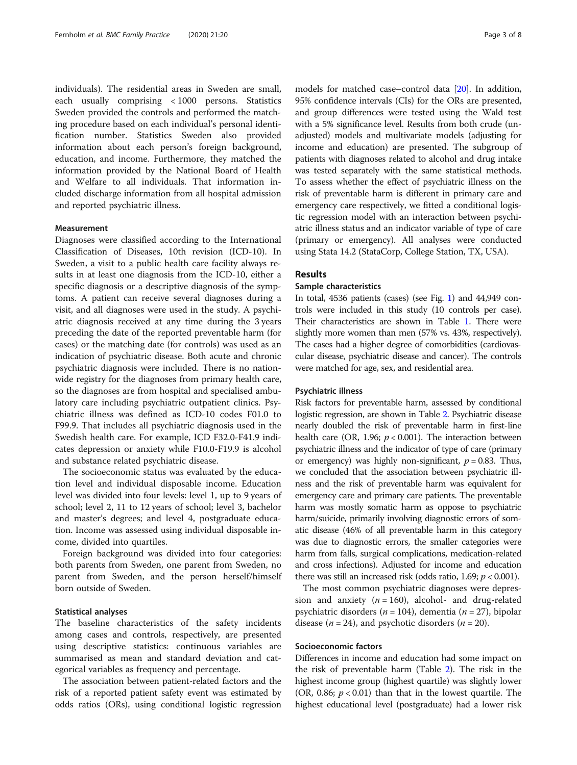individuals). The residential areas in Sweden are small, each usually comprising < 1000 persons. Statistics Sweden provided the controls and performed the matching procedure based on each individual's personal identification number. Statistics Sweden also provided information about each person's foreign background, education, and income. Furthermore, they matched the information provided by the National Board of Health and Welfare to all individuals. That information included discharge information from all hospital admission and reported psychiatric illness.

#### Measurement

Diagnoses were classified according to the International Classification of Diseases, 10th revision (ICD-10). In Sweden, a visit to a public health care facility always results in at least one diagnosis from the ICD-10, either a specific diagnosis or a descriptive diagnosis of the symptoms. A patient can receive several diagnoses during a visit, and all diagnoses were used in the study. A psychiatric diagnosis received at any time during the 3 years preceding the date of the reported preventable harm (for cases) or the matching date (for controls) was used as an indication of psychiatric disease. Both acute and chronic psychiatric diagnosis were included. There is no nationwide registry for the diagnoses from primary health care, so the diagnoses are from hospital and specialised ambulatory care including psychiatric outpatient clinics. Psychiatric illness was defined as ICD-10 codes F01.0 to F99.9. That includes all psychiatric diagnosis used in the Swedish health care. For example, ICD F32.0-F41.9 indicates depression or anxiety while F10.0-F19.9 is alcohol and substance related psychiatric disease.

The socioeconomic status was evaluated by the education level and individual disposable income. Education level was divided into four levels: level 1, up to 9 years of school; level 2, 11 to 12 years of school; level 3, bachelor and master's degrees; and level 4, postgraduate education. Income was assessed using individual disposable income, divided into quartiles.

Foreign background was divided into four categories: both parents from Sweden, one parent from Sweden, no parent from Sweden, and the person herself/himself born outside of Sweden.

#### Statistical analyses

The baseline characteristics of the safety incidents among cases and controls, respectively, are presented using descriptive statistics: continuous variables are summarised as mean and standard deviation and categorical variables as frequency and percentage.

The association between patient-related factors and the risk of a reported patient safety event was estimated by odds ratios (ORs), using conditional logistic regression models for matched case–control data [[20](#page-6-0)]. In addition, 95% confidence intervals (CIs) for the ORs are presented, and group differences were tested using the Wald test with a 5% significance level. Results from both crude (unadjusted) models and multivariate models (adjusting for income and education) are presented. The subgroup of patients with diagnoses related to alcohol and drug intake was tested separately with the same statistical methods. To assess whether the effect of psychiatric illness on the risk of preventable harm is different in primary care and emergency care respectively, we fitted a conditional logistic regression model with an interaction between psychiatric illness status and an indicator variable of type of care (primary or emergency). All analyses were conducted using Stata 14.2 (StataCorp, College Station, TX, USA).

#### Results

#### Sample characteristics

In total, 4536 patients (cases) (see Fig. [1\)](#page-3-0) and 44,949 controls were included in this study (10 controls per case). Their characteristics are shown in Table [1](#page-4-0). There were slightly more women than men (57% vs. 43%, respectively). The cases had a higher degree of comorbidities (cardiovascular disease, psychiatric disease and cancer). The controls were matched for age, sex, and residential area.

#### Psychiatric illness

Risk factors for preventable harm, assessed by conditional logistic regression, are shown in Table [2.](#page-5-0) Psychiatric disease nearly doubled the risk of preventable harm in first-line health care (OR, 1.96;  $p < 0.001$ ). The interaction between psychiatric illness and the indicator of type of care (primary or emergency) was highly non-significant,  $p = 0.83$ . Thus, we concluded that the association between psychiatric illness and the risk of preventable harm was equivalent for emergency care and primary care patients. The preventable harm was mostly somatic harm as oppose to psychiatric harm/suicide, primarily involving diagnostic errors of somatic disease (46% of all preventable harm in this category was due to diagnostic errors, the smaller categories were harm from falls, surgical complications, medication-related and cross infections). Adjusted for income and education there was still an increased risk (odds ratio, 1.69;  $p < 0.001$ ).

The most common psychiatric diagnoses were depression and anxiety ( $n = 160$ ), alcohol- and drug-related psychiatric disorders ( $n = 104$ ), dementia ( $n = 27$ ), bipolar disease ( $n = 24$ ), and psychotic disorders ( $n = 20$ ).

#### Socioeconomic factors

Differences in income and education had some impact on the risk of preventable harm (Table [2](#page-5-0)). The risk in the highest income group (highest quartile) was slightly lower (OR, 0.86;  $p < 0.01$ ) than that in the lowest quartile. The highest educational level (postgraduate) had a lower risk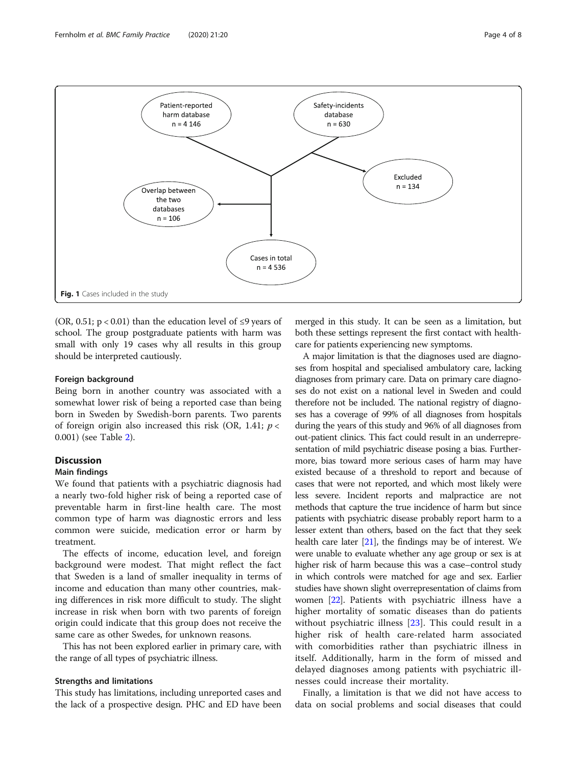<span id="page-3-0"></span>

(OR, 0.51;  $p < 0.01$ ) than the education level of ≤9 years of school. The group postgraduate patients with harm was small with only 19 cases why all results in this group should be interpreted cautiously.

#### Foreign background

Being born in another country was associated with a somewhat lower risk of being a reported case than being born in Sweden by Swedish-born parents. Two parents of foreign origin also increased this risk (OR, 1.41;  $p <$ 0.001) (see Table [2](#page-5-0)).

#### Discussion

#### Main findings

We found that patients with a psychiatric diagnosis had a nearly two-fold higher risk of being a reported case of preventable harm in first-line health care. The most common type of harm was diagnostic errors and less common were suicide, medication error or harm by treatment.

The effects of income, education level, and foreign background were modest. That might reflect the fact that Sweden is a land of smaller inequality in terms of income and education than many other countries, making differences in risk more difficult to study. The slight increase in risk when born with two parents of foreign origin could indicate that this group does not receive the same care as other Swedes, for unknown reasons.

This has not been explored earlier in primary care, with the range of all types of psychiatric illness.

#### Strengths and limitations

This study has limitations, including unreported cases and the lack of a prospective design. PHC and ED have been merged in this study. It can be seen as a limitation, but both these settings represent the first contact with healthcare for patients experiencing new symptoms.

A major limitation is that the diagnoses used are diagnoses from hospital and specialised ambulatory care, lacking diagnoses from primary care. Data on primary care diagnoses do not exist on a national level in Sweden and could therefore not be included. The national registry of diagnoses has a coverage of 99% of all diagnoses from hospitals during the years of this study and 96% of all diagnoses from out-patient clinics. This fact could result in an underrepresentation of mild psychiatric disease posing a bias. Furthermore, bias toward more serious cases of harm may have existed because of a threshold to report and because of cases that were not reported, and which most likely were less severe. Incident reports and malpractice are not methods that capture the true incidence of harm but since patients with psychiatric disease probably report harm to a lesser extent than others, based on the fact that they seek health care later [\[21\]](#page-6-0), the findings may be of interest. We were unable to evaluate whether any age group or sex is at higher risk of harm because this was a case–control study in which controls were matched for age and sex. Earlier studies have shown slight overrepresentation of claims from women [\[22](#page-6-0)]. Patients with psychiatric illness have a higher mortality of somatic diseases than do patients without psychiatric illness [[23\]](#page-6-0). This could result in a higher risk of health care-related harm associated with comorbidities rather than psychiatric illness in itself. Additionally, harm in the form of missed and delayed diagnoses among patients with psychiatric illnesses could increase their mortality.

Finally, a limitation is that we did not have access to data on social problems and social diseases that could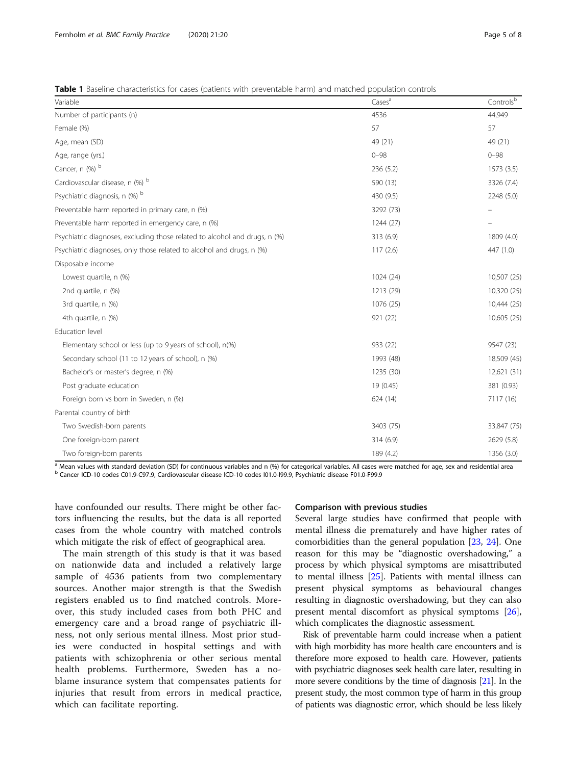<span id="page-4-0"></span>Table 1 Baseline characteristics for cases (patients with preventable harm) and matched population controls

| Variable                                                                   | Cases <sup>a</sup> | $\text{Controls}^{\text{b}}$ |
|----------------------------------------------------------------------------|--------------------|------------------------------|
| Number of participants (n)                                                 | 4536               | 44,949                       |
| Female (%)                                                                 | 57                 | 57                           |
| Age, mean (SD)                                                             | 49 (21)            | 49 (21)                      |
| Age, range (yrs.)                                                          | $0 - 98$           | $0 - 98$                     |
| Cancer, n (%) b                                                            | 236 (5.2)          | 1573 (3.5)                   |
| Cardiovascular disease, n (%) b                                            | 590 (13)           | 3326 (7.4)                   |
| Psychiatric diagnosis, n (%) b                                             | 430 (9.5)          | 2248 (5.0)                   |
| Preventable harm reported in primary care, n (%)                           | 3292 (73)          |                              |
| Preventable harm reported in emergency care, n (%)                         | 1244 (27)          |                              |
| Psychiatric diagnoses, excluding those related to alcohol and drugs, n (%) | 313 (6.9)          | 1809 (4.0)                   |
| Psychiatric diagnoses, only those related to alcohol and drugs, n (%)      | 117(2.6)           | 447 (1.0)                    |
| Disposable income                                                          |                    |                              |
| Lowest quartile, n (%)                                                     | 1024 (24)          | 10,507 (25)                  |
| 2nd quartile, n (%)                                                        | 1213 (29)          | 10,320 (25)                  |
| 3rd quartile, n (%)                                                        | 1076 (25)          | 10,444 (25)                  |
| 4th quartile, n (%)                                                        | 921 (22)           | 10,605 (25)                  |
| Education level                                                            |                    |                              |
| Elementary school or less (up to 9 years of school), n(%)                  | 933 (22)           | 9547 (23)                    |
| Secondary school (11 to 12 years of school), n (%)                         | 1993 (48)          | 18,509 (45)                  |
| Bachelor's or master's degree, n (%)                                       | 1235 (30)          | 12,621 (31)                  |
| Post graduate education                                                    | 19 (0.45)          | 381 (0.93)                   |
| Foreign born vs born in Sweden, n (%)                                      | 624 (14)           | 7117 (16)                    |
| Parental country of birth                                                  |                    |                              |
| Two Swedish-born parents                                                   | 3403 (75)          | 33,847 (75)                  |
| One foreign-born parent                                                    | 314 (6.9)          | 2629 (5.8)                   |
| Two foreign-born parents                                                   | 189 (4.2)          | 1356 (3.0)                   |

<sup>a</sup> Mean values with standard deviation (SD) for continuous variables and n (%) for categorical variables. All cases were matched for age, sex and residential area<br><sup>b</sup> Cancer ICD-10 codes C01.9-C97.9, Cardiovascular diseas

have confounded our results. There might be other factors influencing the results, but the data is all reported cases from the whole country with matched controls which mitigate the risk of effect of geographical area.

The main strength of this study is that it was based on nationwide data and included a relatively large sample of 4536 patients from two complementary sources. Another major strength is that the Swedish registers enabled us to find matched controls. Moreover, this study included cases from both PHC and emergency care and a broad range of psychiatric illness, not only serious mental illness. Most prior studies were conducted in hospital settings and with patients with schizophrenia or other serious mental health problems. Furthermore, Sweden has a noblame insurance system that compensates patients for injuries that result from errors in medical practice, which can facilitate reporting.

#### Comparison with previous studies

Several large studies have confirmed that people with mental illness die prematurely and have higher rates of comorbidities than the general population [[23,](#page-6-0) [24](#page-6-0)]. One reason for this may be "diagnostic overshadowing," a process by which physical symptoms are misattributed to mental illness [[25\]](#page-6-0). Patients with mental illness can present physical symptoms as behavioural changes resulting in diagnostic overshadowing, but they can also present mental discomfort as physical symptoms [\[26](#page-6-0)], which complicates the diagnostic assessment.

Risk of preventable harm could increase when a patient with high morbidity has more health care encounters and is therefore more exposed to health care. However, patients with psychiatric diagnoses seek health care later, resulting in more severe conditions by the time of diagnosis [[21](#page-6-0)]. In the present study, the most common type of harm in this group of patients was diagnostic error, which should be less likely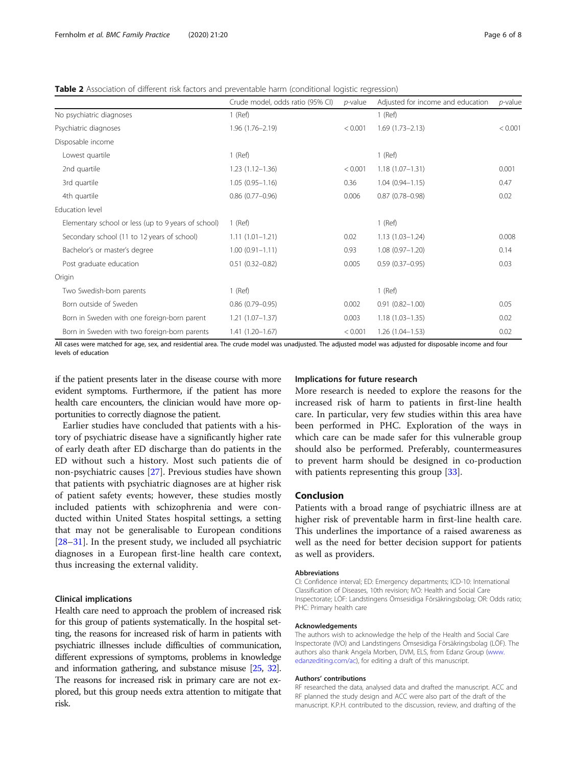<span id="page-5-0"></span>Table 2 Association of different risk factors and preventable harm (conditional logistic regression)

|                                                     | Crude model, odds ratio (95% CI) | $p$ -value | Adjusted for income and education | $p$ -value |
|-----------------------------------------------------|----------------------------------|------------|-----------------------------------|------------|
| No psychiatric diagnoses                            | $1$ (Ref)                        |            | $1$ (Ref)                         |            |
| Psychiatric diagnoses                               | $1.96(1.76 - 2.19)$              | < 0.001    | $1.69(1.73 - 2.13)$               | < 0.001    |
| Disposable income                                   |                                  |            |                                   |            |
| Lowest quartile                                     | $1$ (Ref)                        |            | $1$ (Ref)                         |            |
| 2nd quartile                                        | $1.23(1.12 - 1.36)$              | < 0.001    | $1.18(1.07 - 1.31)$               | 0.001      |
| 3rd quartile                                        | $1.05(0.95 - 1.16)$              | 0.36       | $1.04(0.94 - 1.15)$               | 0.47       |
| 4th quartile                                        | $0.86(0.77-0.96)$                | 0.006      | $0.87(0.78 - 0.98)$               | 0.02       |
| Education level                                     |                                  |            |                                   |            |
| Elementary school or less (up to 9 years of school) | $1$ (Ref)                        |            | $1$ (Ref)                         |            |
| Secondary school (11 to 12 years of school)         | $1.11(1.01 - 1.21)$              | 0.02       | $1.13(1.03 - 1.24)$               | 0.008      |
| Bachelor's or master's degree                       | $1.00(0.91 - 1.11)$              | 0.93       | $1.08(0.97 - 1.20)$               | 0.14       |
| Post graduate education                             | $0.51(0.32 - 0.82)$              | 0.005      | $0.59(0.37 - 0.95)$               | 0.03       |
| Origin                                              |                                  |            |                                   |            |
| Two Swedish-born parents                            | $1$ (Ref)                        |            | $1$ (Ref)                         |            |
| Born outside of Sweden                              | $0.86(0.79 - 0.95)$              | 0.002      | $0.91(0.82 - 1.00)$               | 0.05       |
| Born in Sweden with one foreign-born parent         | $1.21(1.07 - 1.37)$              | 0.003      | $1.18(1.03 - 1.35)$               | 0.02       |
| Born in Sweden with two foreign-born parents        | $1.41(1.20 - 1.67)$              | < 0.001    | $1.26(1.04 - 1.53)$               | 0.02       |

All cases were matched for age, sex, and residential area. The crude model was unadjusted. The adjusted model was adjusted for disposable income and four levels of education

if the patient presents later in the disease course with more evident symptoms. Furthermore, if the patient has more health care encounters, the clinician would have more opportunities to correctly diagnose the patient.

Earlier studies have concluded that patients with a history of psychiatric disease have a significantly higher rate of early death after ED discharge than do patients in the ED without such a history. Most such patients die of non-psychiatric causes [\[27](#page-6-0)]. Previous studies have shown that patients with psychiatric diagnoses are at higher risk of patient safety events; however, these studies mostly included patients with schizophrenia and were conducted within United States hospital settings, a setting that may not be generalisable to European conditions [[28](#page-6-0)–[31](#page-6-0)]. In the present study, we included all psychiatric diagnoses in a European first-line health care context, thus increasing the external validity.

#### Clinical implications

Health care need to approach the problem of increased risk for this group of patients systematically. In the hospital setting, the reasons for increased risk of harm in patients with psychiatric illnesses include difficulties of communication, different expressions of symptoms, problems in knowledge and information gathering, and substance misuse [\[25](#page-6-0), [32](#page-6-0)]. The reasons for increased risk in primary care are not explored, but this group needs extra attention to mitigate that risk.

#### Implications for future research

More research is needed to explore the reasons for the increased risk of harm to patients in first-line health care. In particular, very few studies within this area have been performed in PHC. Exploration of the ways in which care can be made safer for this vulnerable group should also be performed. Preferably, countermeasures to prevent harm should be designed in co-production with patients representing this group [\[33](#page-7-0)].

#### Conclusion

Patients with a broad range of psychiatric illness are at higher risk of preventable harm in first-line health care. This underlines the importance of a raised awareness as well as the need for better decision support for patients as well as providers.

#### Abbreviations

CI: Confidence interval; ED: Emergency departments; ICD-10: International Classification of Diseases, 10th revision; IVO: Health and Social Care Inspectorate; LÖF: Landstingens Ömsesidiga Försäkringsbolag; OR: Odds ratio; PHC: Primary health care

#### Acknowledgements

The authors wish to acknowledge the help of the Health and Social Care Inspectorate (IVO) and Landstingens Ömsesidiga Försäkringsbolag (LÖF). The authors also thank Angela Morben, DVM, ELS, from Edanz Group ([www.](http://www.edanzediting.com/ac) [edanzediting.com/ac\)](http://www.edanzediting.com/ac), for editing a draft of this manuscript.

#### Authors' contributions

RF researched the data, analysed data and drafted the manuscript. ACC and RF planned the study design and ACC were also part of the draft of the manuscript. K.P.H. contributed to the discussion, review, and drafting of the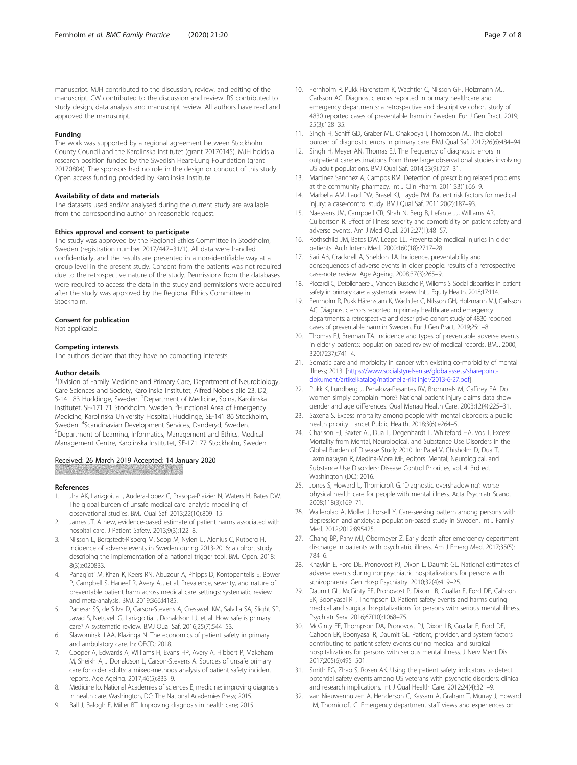<span id="page-6-0"></span>manuscript. MJH contributed to the discussion, review, and editing of the manuscript. CW contributed to the discussion and review. RS contributed to study design, data analysis and manuscript review. All authors have read and approved the manuscript.

#### Funding

The work was supported by a regional agreement between Stockholm County Council and the Karolinska Institutet (grant 20170145). MJH holds a research position funded by the Swedish Heart-Lung Foundation (grant 20170804). The sponsors had no role in the design or conduct of this study. Open access funding provided by Karolinska Institute.

#### Availability of data and materials

The datasets used and/or analysed during the current study are available from the corresponding author on reasonable request.

#### Ethics approval and consent to participate

The study was approved by the Regional Ethics Committee in Stockholm, Sweden (registration number 2017/447–31/1). All data were handled confidentially, and the results are presented in a non-identifiable way at a group level in the present study. Consent from the patients was not required due to the retrospective nature of the study. Permissions from the databases were required to access the data in the study and permissions were acquired after the study was approved by the Regional Ethics Committee in Stockholm.

#### Consent for publication

Not applicable.

#### Competing interests

The authors declare that they have no competing interests.

#### Author details

<sup>1</sup> Division of Family Medicine and Primary Care, Department of Neurobiology, Care Sciences and Society, Karolinska Institutet, Alfred Nobels allé 23, D2, S-141 83 Huddinge, Sweden. <sup>2</sup> Department of Medicine, Solna, Karolinska Institutet, SE-171 71 Stockholm, Sweden. <sup>3</sup>Functional Area of Emergency Medicine, Karolinska University Hospital, Huddinge, SE-141 86 Stockholm, Sweden. <sup>4</sup>Scandinavian Development Services, Danderyd, Sweden.<br><sup>5</sup>Department of Learning Jpformatics, Management and Ethics, Me <sup>5</sup>Department of Learning, Informatics, Management and Ethics, Medical Management Centre, Karolinska Institutet, SE-171 77 Stockholm, Sweden.

#### Received: 26 March 2019 Accepted: 14 January 2020

**RANGERS The Company's Company's Company's** 

#### References

- 1. Jha AK, Larizgoitia I, Audera-Lopez C, Prasopa-Plaizier N, Waters H, Bates DW. The global burden of unsafe medical care: analytic modelling of observational studies. BMJ Qual Saf. 2013;22(10):809–15.
- 2. James JT. A new, evidence-based estimate of patient harms associated with hospital care. J Patient Safety. 2013;9(3):122–8.
- 3. Nilsson L, Borgstedt-Risberg M, Soop M, Nylen U, Alenius C, Rutberg H. Incidence of adverse events in Sweden during 2013-2016: a cohort study describing the implementation of a national trigger tool. BMJ Open. 2018; 8(3):e020833.
- Panagioti M, Khan K, Keers RN, Abuzour A, Phipps D, Kontopantelis E, Bower P, Campbell S, Haneef R, Avery AJ, et al. Prevalence, severity, and nature of preventable patient harm across medical care settings: systematic review and meta-analysis. BMJ. 2019;366:l4185.
- Panesar SS, de Silva D, Carson-Stevens A, Cresswell KM, Salvilla SA, Slight SP, Javad S, Netuveli G, Larizgoitia I, Donaldson LJ, et al. How safe is primary care? A systematic review. BMJ Qual Saf. 2016;25(7):544–53.
- 6. Slawomirski LAA, Klazinga N. The economics of patient safety in primary and ambulatory care. In: OECD; 2018.
- 7. Cooper A, Edwards A, Williams H, Evans HP, Avery A, Hibbert P, Makeham M, Sheikh A, J Donaldson L, Carson-Stevens A. Sources of unsafe primary care for older adults: a mixed-methods analysis of patient safety incident reports. Age Ageing. 2017;46(5):833–9.
- Medicine Io. National Academies of sciences E, medicine: improving diagnosis in health care. Washington, DC: The National Academies Press; 2015.
- 9. Ball J, Balogh E, Miller BT. Improving diagnosis in health care; 2015.
- 10. Fernholm R, Pukk Harenstam K, Wachtler C, Nilsson GH, Holzmann MJ, Carlsson AC. Diagnostic errors reported in primary healthcare and emergency departments: a retrospective and descriptive cohort study of 4830 reported cases of preventable harm in Sweden. Eur J Gen Pract. 2019; 25(3):128–35.
- 11. Singh H, Schiff GD, Graber ML, Onakpoya I, Thompson MJ. The global burden of diagnostic errors in primary care. BMJ Qual Saf. 2017;26(6):484–94.
- 12. Singh H, Meyer AN, Thomas EJ. The frequency of diagnostic errors in outpatient care: estimations from three large observational studies involving US adult populations. BMJ Qual Saf. 2014;23(9):727–31.
- 13. Martinez Sanchez A, Campos RM. Detection of prescribing related problems at the community pharmacy. Int J Clin Pharm. 2011;33(1):66–9.
- 14. Marbella AM, Laud PW, Brasel KJ, Layde PM. Patient risk factors for medical injury: a case-control study. BMJ Qual Saf. 2011;20(2):187–93.
- 15. Naessens JM, Campbell CR, Shah N, Berg B, Lefante JJ, Williams AR, Culbertson R. Effect of illness severity and comorbidity on patient safety and adverse events. Am J Med Qual. 2012;27(1):48–57.
- 16. Rothschild JM, Bates DW, Leape LL. Preventable medical injuries in older patients. Arch Intern Med. 2000;160(18):2717–28.
- 17. Sari AB, Cracknell A, Sheldon TA. Incidence, preventability and consequences of adverse events in older people: results of a retrospective case-note review. Age Ageing. 2008;37(3):265–9.
- 18. Piccardi C, Detollenaere J, Vanden Bussche P, Willems S. Social disparities in patient safety in primary care: a systematic review. Int J Equity Health. 2018;17:114.
- 19. Fernholm R, Pukk Härenstam K, Wachtler C, Nilsson GH, Holzmann MJ, Carlsson AC. Diagnostic errors reported in primary healthcare and emergency departments: a retrospective and descriptive cohort study of 4830 reported cases of preventable harm in Sweden. Eur J Gen Pract. 2019;25:1–8.
- 20. Thomas EJ, Brennan TA. Incidence and types of preventable adverse events in elderly patients: population based review of medical records. BMJ. 2000; 320(7237):741–4.
- 21. Somatic care and morbidity in cancer with existing co-morbidity of mental illness; 2013. [[https://www.socialstyrelsen.se/globalassets/sharepoint](https://www.socialstyrelsen.se/globalassets/sharepoint-dokument/artikelkatalog/nationella-riktlinjer/2013-6-27.pdf)[dokument/artikelkatalog/nationella-riktlinjer/2013-6-27.pdf\]](https://www.socialstyrelsen.se/globalassets/sharepoint-dokument/artikelkatalog/nationella-riktlinjer/2013-6-27.pdf).
- 22. Pukk K, Lundberg J, Penaloza-Pesantes RV, Brommels M, Gaffney FA. Do women simply complain more? National patient injury claims data show gender and age differences. Qual Manag Health Care. 2003;12(4):225–31.
- 23. Saxena S. Excess mortality among people with mental disorders: a public health priority. Lancet Public Health. 2018;3(6):e264–5.
- 24. Charlson FJ, Baxter AJ, Dua T, Degenhardt L, Whiteford HA, Vos T. Excess Mortality from Mental, Neurological, and Substance Use Disorders in the Global Burden of Disease Study 2010. In: Patel V, Chisholm D, Dua T, Laxminarayan R, Medina-Mora ME, editors. Mental, Neurological, and Substance Use Disorders: Disease Control Priorities, vol. 4. 3rd ed. Washington (DC); 2016.
- 25. Jones S, Howard L, Thornicroft G. 'Diagnostic overshadowing': worse physical health care for people with mental illness. Acta Psychiatr Scand. 2008;118(3):169–71.
- 26. Wallerblad A, Moller J, Forsell Y. Care-seeking pattern among persons with depression and anxiety: a population-based study in Sweden. Int J Family Med. 2012;2012:895425.
- 27. Chang BP, Pany MJ, Obermeyer Z. Early death after emergency department discharge in patients with psychiatric illness. Am J Emerg Med. 2017;35(5): 784–6.
- 28. Khaykin E, Ford DE, Pronovost PJ, Dixon L, Daumit GL. National estimates of adverse events during nonpsychiatric hospitalizations for persons with schizophrenia. Gen Hosp Psychiatry. 2010;32(4):419–25.
- 29. Daumit GL, McGinty EE, Pronovost P, Dixon LB, Guallar E, Ford DE, Cahoon EK, Boonyasai RT, Thompson D. Patient safety events and harms during medical and surgical hospitalizations for persons with serious mental illness. Psychiatr Serv. 2016;67(10):1068–75.
- 30. McGinty EE, Thompson DA, Pronovost PJ, Dixon LB, Guallar E, Ford DE, Cahoon EK, Boonyasai R, Daumit GL. Patient, provider, and system factors contributing to patient safety events during medical and surgical hospitalizations for persons with serious mental illness. J Nerv Ment Dis. 2017;205(6):495–501.
- 31. Smith EG, Zhao S, Rosen AK. Using the patient safety indicators to detect potential safety events among US veterans with psychotic disorders: clinical and research implications. Int J Qual Health Care. 2012;24(4):321–9.
- 32. van Nieuwenhuizen A, Henderson C, Kassam A, Graham T, Murray J, Howard LM, Thornicroft G. Emergency department staff views and experiences on